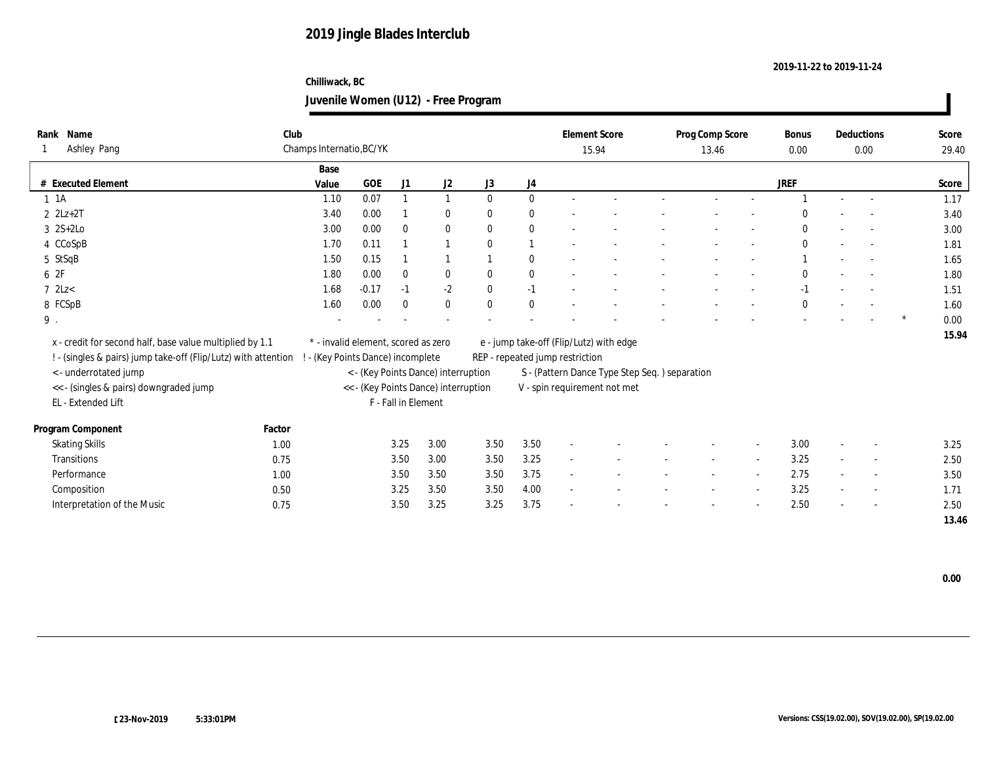## **Chilliwack, BC Juvenile Women (U12) - Free Program**

| Name<br>Rank<br>Ashley Pang                                    | Club          | Champs Internatio, BC/YK            |                     |                                      |              |                  | 15.94                           | <b>Element Score</b>                          | Prog Comp Score<br>13.46 |                          | <b>Bonus</b><br>0.00 | Deductions<br>0.00       | Score<br>29.40 |
|----------------------------------------------------------------|---------------|-------------------------------------|---------------------|--------------------------------------|--------------|------------------|---------------------------------|-----------------------------------------------|--------------------------|--------------------------|----------------------|--------------------------|----------------|
|                                                                |               |                                     |                     |                                      |              |                  |                                 |                                               |                          |                          |                      |                          |                |
| # Executed Element                                             | Base<br>Value | <b>GOE</b>                          | J1                  | J2                                   | J3           | $_{\mathrm{J}4}$ |                                 |                                               |                          |                          | <b>JREF</b>          |                          | Score          |
| $1 \t1A$                                                       | 1.10          | 0.07                                |                     | $\mathbf{1}$                         | $\mathbf{0}$ | $\mathbf{0}$     |                                 |                                               |                          |                          |                      | $\sim$                   | 1.17           |
| $2 \text{ } 2Lz + 2T$                                          | 3.40          | 0.00                                |                     | $\bf{0}$                             | $\mathbf{0}$ | $\bf{0}$         |                                 |                                               |                          |                          | $\Omega$             |                          | 3.40           |
| $3 \quad 2S+2Lo$                                               | 3.00          | 0.00                                | $\mathbf{0}$        | $\bf{0}$                             | $\mathbf{0}$ | $\bf{0}$         |                                 |                                               |                          |                          | $\mathbf{0}$         |                          | 3.00           |
| 4 CCoSpB                                                       | 1.70          | 0.11                                |                     | $\overline{1}$                       | $\theta$     |                  |                                 |                                               |                          |                          | $\mathbf{0}$         | $\overline{\phantom{a}}$ | 1.81           |
| 5 StSqB                                                        | 1.50          | 0.15                                |                     |                                      |              | $\bf{0}$         |                                 |                                               |                          |                          |                      |                          | 1.65           |
| 6 2F                                                           | 1.80          | 0.00                                | $\bf{0}$            | $\bf{0}$                             | $\mathbf{0}$ | $\boldsymbol{0}$ |                                 |                                               |                          |                          | $\mathbf{0}$         | $\overline{\phantom{a}}$ | 1.80           |
| $7$ 2Lz $<$                                                    | 1.68          | $-0.17$                             | $-1$                | $\mbox{-}2$                          | $\mathbf{0}$ | $-1$             |                                 |                                               |                          |                          | $-1$                 | $\overline{\phantom{a}}$ | 1.51           |
| 8 FCSpB                                                        | 1.60          | 0.00                                | $\mathbf{0}$        | $\mathbf{0}$                         | $\mathbf{0}$ | $\mathbf{0}$     |                                 |                                               |                          |                          | $\theta$             |                          | 1.60           |
| $9$ .                                                          |               |                                     |                     |                                      |              |                  |                                 |                                               |                          |                          |                      |                          | 0.00           |
|                                                                |               |                                     |                     |                                      |              |                  |                                 |                                               |                          |                          |                      |                          | 15.94          |
| x - credit for second half, base value multiplied by 1.1       |               | * - invalid element, scored as zero |                     |                                      |              |                  |                                 | e - jump take-off (Flip/Lutz) with edge       |                          |                          |                      |                          |                |
| ! - (singles & pairs) jump take-off (Flip/Lutz) with attention |               | ! - (Key Points Dance) incomplete   |                     |                                      |              |                  | REP - repeated jump restriction |                                               |                          |                          |                      |                          |                |
| <- underrotated jump                                           |               |                                     |                     | < - (Key Points Dance) interruption  |              |                  |                                 | S - (Pattern Dance Type Step Seq.) separation |                          |                          |                      |                          |                |
| << - (singles & pairs) downgraded jump                         |               |                                     |                     | << - (Key Points Dance) interruption |              |                  |                                 | V - spin requirement not met                  |                          |                          |                      |                          |                |
| EL - Extended Lift                                             |               |                                     | F - Fall in Element |                                      |              |                  |                                 |                                               |                          |                          |                      |                          |                |
| Program Component                                              | Factor        |                                     |                     |                                      |              |                  |                                 |                                               |                          |                          |                      |                          |                |
| <b>Skating Skills</b>                                          | 1.00          |                                     | 3.25                | 3.00                                 | 3.50         | 3.50             | $\sim$                          |                                               |                          | $\overline{\phantom{a}}$ | 3.00                 | $\overline{\phantom{a}}$ | 3.25           |
| Transitions                                                    | 0.75          |                                     | 3.50                | 3.00                                 | 3.50         | 3.25             |                                 |                                               |                          |                          | 3.25                 | $\overline{\phantom{a}}$ | 2.50           |
| Performance                                                    | 1.00          |                                     | 3.50                | 3.50                                 | 3.50         | 3.75             |                                 |                                               |                          |                          | 2.75                 | $\overline{\phantom{a}}$ | 3.50           |
| Composition                                                    | 0.50          |                                     | 3.25                | 3.50                                 | 3.50         | 4.00             | $\overline{a}$                  |                                               |                          | $\overline{\phantom{a}}$ | 3.25                 | $\sim$                   | 1.71           |
| Interpretation of the Music                                    | 0.75          |                                     | 3.50                | 3.25                                 | 3.25         | 3.75             |                                 |                                               |                          |                          | 2.50                 |                          | 2.50           |
|                                                                |               |                                     |                     |                                      |              |                  |                                 |                                               |                          |                          |                      |                          | 13.46          |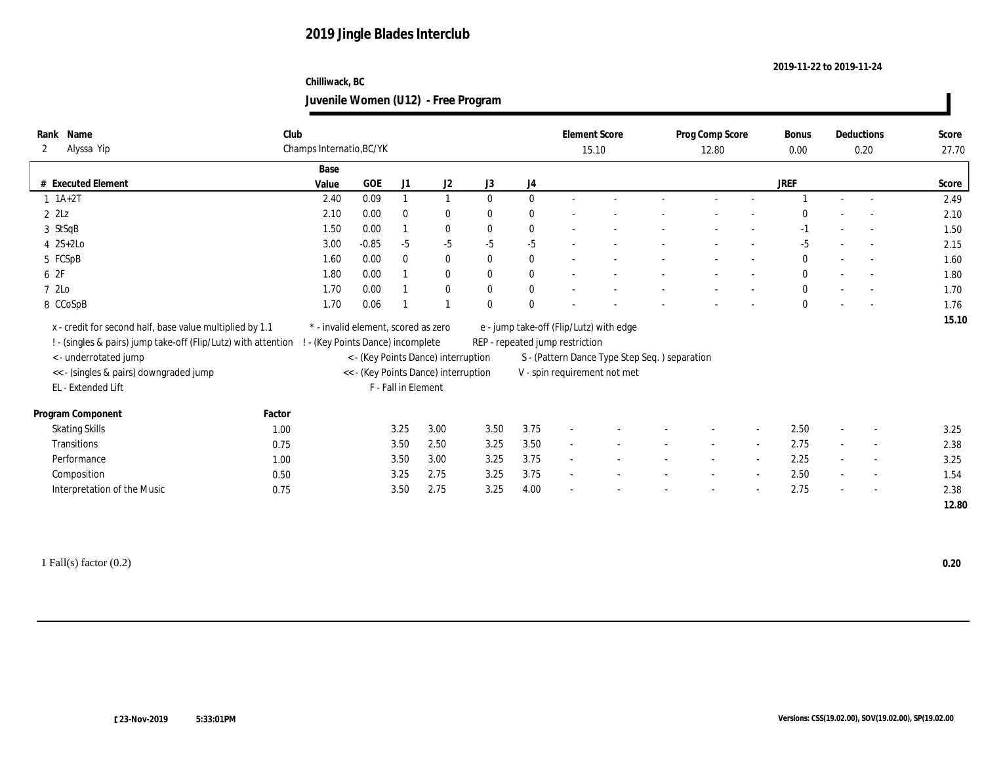## **Chilliwack, BC Juvenile Women (U12) - Free Program**

| Name<br>Rank                                                   | Club   |                                     |           |                     |                                      |              |              |                                 | <b>Element Score</b>                           |        | Prog Comp Score |                          | Bonus        |                          | Deductions               | Score |
|----------------------------------------------------------------|--------|-------------------------------------|-----------|---------------------|--------------------------------------|--------------|--------------|---------------------------------|------------------------------------------------|--------|-----------------|--------------------------|--------------|--------------------------|--------------------------|-------|
| Alyssa Yip<br>2                                                |        | Champs Internatio, BC/YK            |           |                     |                                      |              |              |                                 | 15.10                                          |        | 12.80           |                          | 0.00         |                          | 0.20                     | 27.70 |
|                                                                |        | Base                                |           |                     |                                      |              |              |                                 |                                                |        |                 |                          |              |                          |                          |       |
| # Executed Element                                             |        | Value                               | $\rm GOE$ | J1                  | J <sub>2</sub>                       | J3           | J4           |                                 |                                                |        |                 |                          | JREF         |                          |                          | Score |
| $1 \ 1A+2T$                                                    |        | 2.40                                | 0.09      | 1                   | 1                                    | $\mathbf{0}$ | $\mathbf{0}$ |                                 |                                                |        |                 |                          |              | $\sim$                   |                          | 2.49  |
| $2$ $2$ Lz                                                     |        | 2.10                                | 0.00      | $\bf{0}$            | $\bf{0}$                             | $\mathbf{0}$ | $\mathbf{0}$ |                                 |                                                |        |                 |                          |              |                          |                          | 2.10  |
| 3 StSqB                                                        |        | 1.50                                | 0.00      |                     | $\bf{0}$                             | $\mathbf{0}$ | $\bf{0}$     |                                 |                                                |        |                 |                          | $-1$         |                          |                          | 1.50  |
| $4 \quad 2S+2Lo$                                               |        | 3.00                                | $-0.85$   | $-5$                | $-5$                                 | $-5$         | $-5$         |                                 |                                                |        |                 |                          | $-5$         |                          |                          | 2.15  |
| 5 FCSpB                                                        |        | 1.60                                | 0.00      | $\bf{0}$            | $\bf{0}$                             | $\bf{0}$     | $\bf{0}$     |                                 |                                                |        |                 |                          | $\mathbf{0}$ |                          |                          | 1.60  |
| 6 2F                                                           |        | 1.80                                | 0.00      |                     | $\bf{0}$                             | $\bf{0}$     | $\bf{0}$     |                                 |                                                |        |                 |                          | $\bf{0}$     | $\overline{\phantom{a}}$ |                          | 1.80  |
| 7 2Lo                                                          |        | 1.70                                | 0.00      |                     | $\bf{0}$                             | $\mathbf{0}$ | $\bf{0}$     |                                 |                                                |        |                 |                          | $\mathbf{0}$ |                          |                          | 1.70  |
| 8 CCoSpB                                                       |        | 1.70                                | 0.06      |                     |                                      | $\mathbf{0}$ | $\mathbf{0}$ |                                 |                                                |        |                 |                          | $\bf{0}$     |                          |                          | 1.76  |
| x - credit for second half, base value multiplied by 1.1       |        | * - invalid element, scored as zero |           |                     |                                      |              |              |                                 | e - jump take-off (Flip/Lutz) with edge        |        |                 |                          |              |                          |                          | 15.10 |
| ! - (singles & pairs) jump take-off (Flip/Lutz) with attention |        | - (Key Points Dance) incomplete     |           |                     |                                      |              |              | REP - repeated jump restriction |                                                |        |                 |                          |              |                          |                          |       |
| <- underrotated jump                                           |        |                                     |           |                     | < - (Key Points Dance) interruption  |              |              |                                 | S - (Pattern Dance Type Step Seq. ) separation |        |                 |                          |              |                          |                          |       |
| << - (singles & pairs) downgraded jump                         |        |                                     |           |                     | << - (Key Points Dance) interruption |              |              |                                 | V - spin requirement not met                   |        |                 |                          |              |                          |                          |       |
| EL - Extended Lift                                             |        |                                     |           | F - Fall in Element |                                      |              |              |                                 |                                                |        |                 |                          |              |                          |                          |       |
|                                                                |        |                                     |           |                     |                                      |              |              |                                 |                                                |        |                 |                          |              |                          |                          |       |
| Program Component                                              | Factor |                                     |           |                     |                                      |              |              |                                 |                                                |        |                 |                          |              |                          |                          |       |
| <b>Skating Skills</b>                                          | 1.00   |                                     |           | 3.25                | 3.00                                 | 3.50         | 3.75         | $\sim$                          |                                                |        |                 |                          | 2.50         |                          |                          | 3.25  |
| Transitions                                                    | 0.75   |                                     |           | 3.50                | 2.50                                 | 3.25         | 3.50         | $\sim$                          |                                                | $\sim$ | $\sim$          | $\overline{\phantom{a}}$ | 2.75         | $\sim$                   | $\overline{\phantom{a}}$ | 2.38  |
| Performance                                                    | 1.00   |                                     |           | 3.50                | 3.00                                 | 3.25         | 3.75         | $\sim$                          |                                                |        |                 | $\overline{a}$           | 2.25         | $\overline{\phantom{a}}$ | $\sim$                   | 3.25  |
| Composition                                                    | 0.50   |                                     |           | 3.25                | 2.75                                 | 3.25         | 3.75         | $\sim$                          |                                                |        |                 |                          | 2.50         |                          | $\sim$                   | 1.54  |
| Interpretation of the Music                                    | 0.75   |                                     |           | 3.50                | 2.75                                 | 3.25         | 4.00         |                                 |                                                |        |                 |                          | 2.75         |                          | $\sim$                   | 2.38  |
|                                                                |        |                                     |           |                     |                                      |              |              |                                 |                                                |        |                 |                          |              |                          |                          | 12.80 |
|                                                                |        |                                     |           |                     |                                      |              |              |                                 |                                                |        |                 |                          |              |                          |                          |       |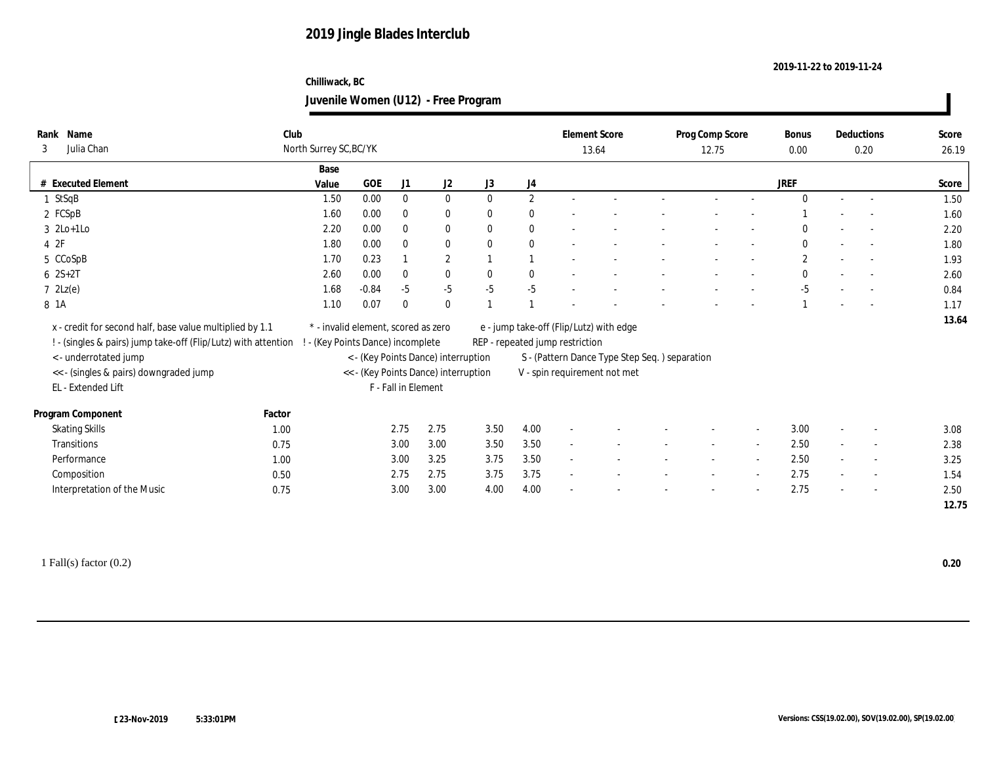## **Chilliwack, BC Juvenile Women (U12) - Free Program**

| Name<br>Rank                                                                                     | Club   |                                     |                     |                                      |              |              | <b>Element Score</b>            |                                               | Prog Comp Score |                          | <b>Bonus</b> |        | Deductions               | Score |
|--------------------------------------------------------------------------------------------------|--------|-------------------------------------|---------------------|--------------------------------------|--------------|--------------|---------------------------------|-----------------------------------------------|-----------------|--------------------------|--------------|--------|--------------------------|-------|
| Julia Chan<br>3                                                                                  |        | North Surrey SC, BC/YK              |                     |                                      |              |              | 13.64                           |                                               | 12.75           |                          | 0.00         |        | 0.20                     | 26.19 |
|                                                                                                  |        | Base                                |                     |                                      |              |              |                                 |                                               |                 |                          |              |        |                          |       |
| # Executed Element                                                                               | Value  | GOE                                 | J1                  | J2                                   | J3           | J4           |                                 |                                               |                 |                          | <b>JREF</b>  |        |                          | Score |
| 1 StSqB                                                                                          |        | 0.00<br>1.50                        | $\bf{0}$            | $\bf{0}$                             | $\mathbf{0}$ | $\mathbf{2}$ |                                 |                                               |                 |                          | $\theta$     | $\sim$ |                          | 1.50  |
| 2 FCSpB                                                                                          |        | 0.00<br>1.60                        | $\mathbf{0}$        | $\bf{0}$                             | $\mathbf{0}$ | $\mathbf{0}$ |                                 |                                               |                 |                          |              |        |                          | 1.60  |
| $3 \text{ } 2\text{Lo+1Lo}$                                                                      |        | 2.20<br>0.00                        | $\mathbf{0}$        | $\bf{0}$                             | $\mathbf{0}$ | $\bf{0}$     |                                 |                                               |                 |                          | $\bf{0}$     |        |                          | 2.20  |
| 4 2F                                                                                             |        | 1.80<br>0.00                        | $\mathbf{0}$        | $\bf{0}$                             | $\bf{0}$     | $\bf{0}$     |                                 |                                               |                 |                          | $\mathbf{0}$ |        |                          | 1.80  |
| 5 CCoSpB                                                                                         |        | 0.23<br>1.70                        |                     | $\mathbf{2}$                         | $\mathbf{1}$ | $\mathbf{1}$ |                                 |                                               |                 |                          | $\mathbf{2}$ |        |                          | 1.93  |
| $6 \t2S+2T$                                                                                      |        | 0.00<br>2.60                        | $\mathbf{0}$        | $\mathbf{0}$                         | $\mathbf{0}$ | $\mathbf{0}$ |                                 |                                               |                 |                          | $\mathbf{0}$ |        |                          | 2.60  |
| $7 \text{ } 2Lz(e)$                                                                              |        | $-0.84$<br>1.68                     | $-5$                | $-5$                                 | $-5$         | $-5$         |                                 |                                               |                 |                          | $-5$         |        |                          | 0.84  |
| 8 1A                                                                                             |        | 1.10<br>0.07                        | $\mathbf{0}$        | $\mathbf{0}$                         | $\mathbf{1}$ |              |                                 |                                               |                 |                          |              |        |                          | 1.17  |
| x - credit for second half, base value multiplied by 1.1                                         |        | * - invalid element, scored as zero |                     |                                      |              |              |                                 | e - jump take-off (Flip/Lutz) with edge       |                 |                          |              |        |                          | 13.64 |
| ! - (singles & pairs) jump take-off (Flip/Lutz) with attention ! - (Key Points Dance) incomplete |        |                                     |                     |                                      |              |              | REP - repeated jump restriction |                                               |                 |                          |              |        |                          |       |
| <- underrotated jump                                                                             |        |                                     |                     | < - (Key Points Dance) interruption  |              |              |                                 | S - (Pattern Dance Type Step Seq.) separation |                 |                          |              |        |                          |       |
| << - (singles & pairs) downgraded jump                                                           |        |                                     |                     | << - (Key Points Dance) interruption |              |              |                                 | V - spin requirement not met                  |                 |                          |              |        |                          |       |
| EL - Extended Lift                                                                               |        |                                     | F - Fall in Element |                                      |              |              |                                 |                                               |                 |                          |              |        |                          |       |
|                                                                                                  |        |                                     |                     |                                      |              |              |                                 |                                               |                 |                          |              |        |                          |       |
| Program Component                                                                                | Factor |                                     |                     |                                      |              |              |                                 |                                               |                 |                          |              |        |                          |       |
| <b>Skating Skills</b>                                                                            | 1.00   |                                     | 2.75                | 2.75                                 | 3.50         | 4.00         |                                 |                                               |                 |                          | 3.00         |        |                          | 3.08  |
| <b>Transitions</b>                                                                               | 0.75   |                                     | 3.00                | 3.00                                 | 3.50         | 3.50         | $\sim$                          |                                               | $\sim$          | $\sim$                   | 2.50         | $\sim$ | $\sim$                   | 2.38  |
| Performance                                                                                      | 1.00   |                                     | 3.00                | 3.25                                 | 3.75         | 3.50         | $\sim$                          |                                               |                 | $\overline{\phantom{a}}$ | 2.50         | $\sim$ | $\overline{\phantom{a}}$ | 3.25  |
| Composition                                                                                      | 0.50   |                                     | 2.75                | 2.75                                 | 3.75         | 3.75         | $\overline{a}$                  |                                               |                 | $\overline{\phantom{a}}$ | 2.75         |        | $\overline{\phantom{a}}$ | 1.54  |
| Interpretation of the Music                                                                      | 0.75   |                                     | 3.00                | 3.00                                 | 4.00         | 4.00         |                                 |                                               |                 | $\overline{\phantom{a}}$ | 2.75         |        | $\sim$                   | 2.50  |
|                                                                                                  |        |                                     |                     |                                      |              |              |                                 |                                               |                 |                          |              |        |                          | 12.75 |
|                                                                                                  |        |                                     |                     |                                      |              |              |                                 |                                               |                 |                          |              |        |                          |       |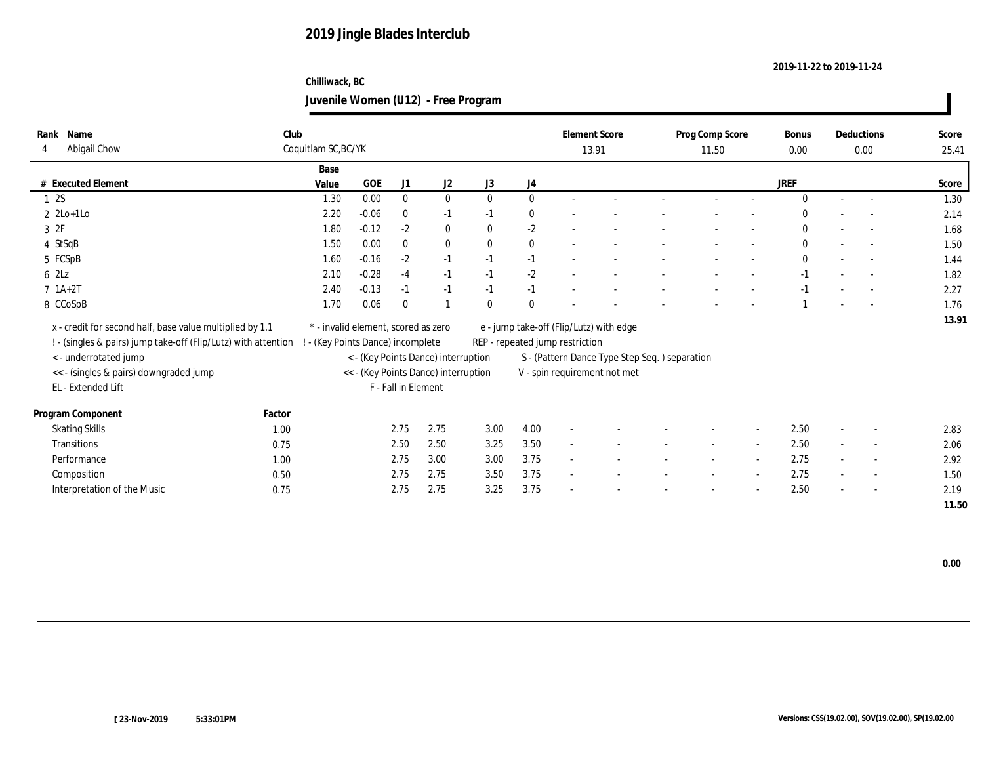## **Chilliwack, BC Juvenile Women (U12) - Free Program**

| Name<br>Rank                                                   | Club   |                                     |         |                     |                                      |              |              |                                 | <b>Element Score</b>                          | Prog Comp Score |        | Bonus        |        | Deductions               | Score |
|----------------------------------------------------------------|--------|-------------------------------------|---------|---------------------|--------------------------------------|--------------|--------------|---------------------------------|-----------------------------------------------|-----------------|--------|--------------|--------|--------------------------|-------|
| Abigail Chow<br>4                                              |        | Coquitlam SC, BC/YK                 |         |                     |                                      |              |              |                                 | 13.91                                         | 11.50           |        | 0.00         |        | 0.00                     | 25.41 |
|                                                                |        | Base                                |         |                     |                                      |              |              |                                 |                                               |                 |        |              |        |                          |       |
| # Executed Element                                             |        | Value                               | GOE     | J1                  | J2                                   | J3           | J4           |                                 |                                               |                 |        | <b>JREF</b>  |        |                          | Score |
| 12S                                                            |        | 1.30                                | 0.00    | $\bf{0}$            | $\bf{0}$                             | $\mathbf{0}$ | $\mathbf{0}$ |                                 |                                               |                 |        | $\Omega$     | $\sim$ |                          | 1.30  |
| $2 \text{ } 2\text{Lo+1Lo}$                                    |        | 2.20                                | $-0.06$ | $\bf{0}$            | $-1$                                 | $-1$         | $\bf{0}$     |                                 |                                               |                 |        | $\Omega$     |        |                          | 2.14  |
| 3ZF                                                            |        | 1.80                                | $-0.12$ | $-2$                | $\bf{0}$                             | $\mathbf{0}$ | $\mbox{-} 2$ |                                 |                                               |                 |        | $\mathbf{0}$ |        |                          | 1.68  |
| 4 StSqB                                                        |        | 1.50                                | 0.00    | $\mathbf{0}$        | $\bf{0}$                             | $\bf{0}$     | $\bf{0}$     |                                 |                                               |                 |        | $\mathbf{0}$ |        |                          | 1.50  |
| 5 FCSpB                                                        |        | 1.60                                | $-0.16$ | $-2$                | $-1$                                 | $-1$         | $-1$         |                                 |                                               |                 |        | $\mathbf{0}$ |        | $\sim$                   | 1.44  |
| 62Lz                                                           |        | 2.10                                | $-0.28$ | $-4$                | $-1$                                 | $-1$         | $-2$         |                                 |                                               |                 |        | $-1$         |        |                          | 1.82  |
| $7 \; 1A+2T$                                                   |        | 2.40                                | $-0.13$ | $-1$                | $-1$                                 | $-1$         | $-1$         |                                 |                                               |                 |        | $-1$         |        | $\overline{a}$           | 2.27  |
| 8 CCoSpB                                                       |        | 1.70                                | 0.06    | $\mathbf{0}$        | $\overline{1}$                       | $\mathbf{0}$ | $\mathbf{0}$ |                                 |                                               |                 |        |              |        | $\sim$                   | 1.76  |
| x - credit for second half, base value multiplied by 1.1       |        | * - invalid element, scored as zero |         |                     |                                      |              |              |                                 | e - jump take-off (Flip/Lutz) with edge       |                 |        |              |        |                          | 13.91 |
| ! - (singles & pairs) jump take-off (Flip/Lutz) with attention |        | ! - (Key Points Dance) incomplete   |         |                     |                                      |              |              | REP - repeated jump restriction |                                               |                 |        |              |        |                          |       |
| <- underrotated jump                                           |        |                                     |         |                     | < - (Key Points Dance) interruption  |              |              |                                 | S - (Pattern Dance Type Step Seq.) separation |                 |        |              |        |                          |       |
| << - (singles & pairs) downgraded jump                         |        |                                     |         |                     | << - (Key Points Dance) interruption |              |              |                                 | V - spin requirement not met                  |                 |        |              |        |                          |       |
| EL - Extended Lift                                             |        |                                     |         | F - Fall in Element |                                      |              |              |                                 |                                               |                 |        |              |        |                          |       |
|                                                                |        |                                     |         |                     |                                      |              |              |                                 |                                               |                 |        |              |        |                          |       |
| Program Component                                              | Factor |                                     |         |                     |                                      |              |              |                                 |                                               |                 |        |              |        |                          |       |
| <b>Skating Skills</b>                                          | 1.00   |                                     |         | 2.75                | 2.75                                 | 3.00         | 4.00         |                                 |                                               |                 |        | 2.50         |        | $\overline{\phantom{a}}$ | 2.83  |
| <b>Transitions</b>                                             | 0.75   |                                     |         | 2.50                | 2.50                                 | 3.25         | 3.50         | $\overline{\phantom{a}}$        |                                               | $\sim$          | $\sim$ | 2.50         |        | $\sim$                   | 2.06  |
| Performance                                                    | 1.00   |                                     |         | 2.75                | 3.00                                 | 3.00         | 3.75         |                                 |                                               |                 |        | 2.75         |        | $\sim$                   | 2.92  |
| Composition                                                    | 0.50   |                                     |         | 2.75                | 2.75                                 | 3.50         | 3.75         |                                 |                                               |                 | $\sim$ | 2.75         |        | $\overline{\phantom{a}}$ | 1.50  |
| Interpretation of the Music                                    | 0.75   |                                     |         | 2.75                | 2.75                                 | 3.25         | 3.75         |                                 |                                               |                 |        | 2.50         |        | $\overline{a}$           | 2.19  |
|                                                                |        |                                     |         |                     |                                      |              |              |                                 |                                               |                 |        |              |        |                          | 11.50 |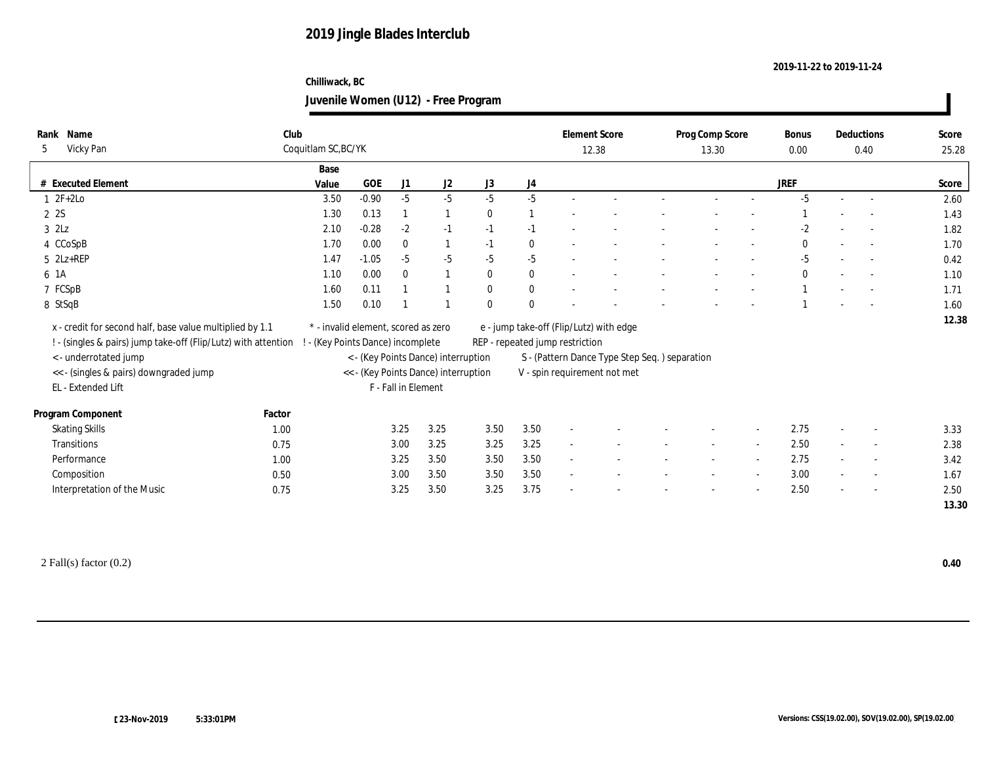## **Chilliwack, BC Juvenile Women (U12) - Free Program**

| Name<br>Rank                                                   | Club                |       |                                     |                     |                                      |              |                | <b>Element Score</b>            |                                                |        | Prog Comp Score |        | <b>Bonus</b> |                          | Deductions               | Score |
|----------------------------------------------------------------|---------------------|-------|-------------------------------------|---------------------|--------------------------------------|--------------|----------------|---------------------------------|------------------------------------------------|--------|-----------------|--------|--------------|--------------------------|--------------------------|-------|
| Vicky Pan<br>5                                                 | Coquitlam SC, BC/YK |       |                                     |                     |                                      |              |                | 12.38                           |                                                |        | 13.30           |        | 0.00         |                          | 0.40                     | 25.28 |
|                                                                |                     | Base  |                                     |                     |                                      |              |                |                                 |                                                |        |                 |        |              |                          |                          |       |
| # Executed Element                                             |                     | Value | GOE                                 | J1                  | J2                                   | J3           | J4             |                                 |                                                |        |                 |        | <b>JREF</b>  |                          |                          | Score |
| $1 \t2F+2Lo$                                                   |                     | 3.50  | $-0.90$                             | $-5$                | $-5$                                 | $-5$         | $-5$           |                                 |                                                |        |                 |        | $-5$         | $\sim$                   |                          | 2.60  |
| 2 2S                                                           |                     | 1.30  | 0.13                                |                     | $\mathbf{1}$                         | $\mathbf{0}$ | $\overline{1}$ |                                 |                                                |        |                 |        |              |                          |                          | 1.43  |
| $3$ $2Lz$                                                      |                     | 2.10  | $-0.28$                             | $-2$                | $-1$                                 | $-1$         | $-1$           |                                 |                                                |        |                 |        | $-2$         |                          |                          | 1.82  |
| 4 CCoSpB                                                       |                     | 1.70  | 0.00                                | $\mathbf{0}$        | $\mathbf{1}$                         | $-1$         | $\bf{0}$       |                                 |                                                |        |                 |        | $\mathbf{0}$ |                          |                          | 1.70  |
| $5$ $2Lz+REP$                                                  |                     | 1.47  | $-1.05$                             | $-5$                | $-5$                                 | $-5$         | $-5$           |                                 |                                                |        |                 |        | $-5$         |                          |                          | 0.42  |
| 6 1A                                                           |                     | 1.10  | 0.00                                | $\mathbf{0}$        | $\mathbf{1}$                         | $\mathbf{0}$ | $\bf{0}$       |                                 |                                                |        |                 |        | $\mathbf{0}$ |                          | $\overline{\phantom{0}}$ | 1.10  |
| 7 FCSpB                                                        |                     | 1.60  | 0.11                                |                     | $\overline{1}$                       | $\mathbf{0}$ | $\bf{0}$       |                                 |                                                |        |                 |        |              |                          |                          | 1.71  |
| 8 StSqB                                                        |                     | 1.50  | 0.10                                |                     |                                      | $\mathbf{0}$ | $\mathbf{0}$   |                                 |                                                |        |                 |        |              |                          |                          | 1.60  |
| x - credit for second half, base value multiplied by 1.1       |                     |       | * - invalid element, scored as zero |                     |                                      |              |                |                                 | e - jump take-off (Flip/Lutz) with edge        |        |                 |        |              |                          |                          | 12.38 |
| ! - (singles & pairs) jump take-off (Flip/Lutz) with attention |                     |       | - (Key Points Dance) incomplete     |                     |                                      |              |                | REP - repeated jump restriction |                                                |        |                 |        |              |                          |                          |       |
| <- underrotated jump                                           |                     |       |                                     |                     | < - (Key Points Dance) interruption  |              |                |                                 | S - (Pattern Dance Type Step Seq. ) separation |        |                 |        |              |                          |                          |       |
| << - (singles & pairs) downgraded jump                         |                     |       |                                     |                     | << - (Key Points Dance) interruption |              |                |                                 | V - spin requirement not met                   |        |                 |        |              |                          |                          |       |
| EL - Extended Lift                                             |                     |       |                                     | F - Fall in Element |                                      |              |                |                                 |                                                |        |                 |        |              |                          |                          |       |
|                                                                |                     |       |                                     |                     |                                      |              |                |                                 |                                                |        |                 |        |              |                          |                          |       |
| Program Component                                              | Factor              |       |                                     |                     |                                      |              |                |                                 |                                                |        |                 |        |              |                          |                          |       |
| <b>Skating Skills</b>                                          | 1.00                |       |                                     | 3.25                | 3.25                                 | 3.50         | 3.50           | $\sim$                          |                                                |        |                 |        | 2.75         |                          |                          | 3.33  |
| Transitions                                                    | 0.75                |       |                                     | 3.00                | 3.25                                 | 3.25         | 3.25           | $\sim$                          |                                                | $\sim$ | $\sim$          | $\sim$ | 2.50         | $\sim$                   | $\overline{\phantom{a}}$ | 2.38  |
| Performance                                                    | 1.00                |       |                                     | 3.25                | 3.50                                 | 3.50         | 3.50           | $\sim$                          |                                                |        |                 | $\sim$ | 2.75         | $\overline{\phantom{a}}$ | $\overline{\phantom{a}}$ | 3.42  |
| Composition                                                    | 0.50                |       |                                     | 3.00                | 3.50                                 | 3.50         | 3.50           | $\sim$                          |                                                |        |                 | $\sim$ | 3.00         |                          | $\sim$                   | 1.67  |
| Interpretation of the Music                                    | 0.75                |       |                                     | 3.25                | 3.50                                 | 3.25         | 3.75           |                                 |                                                |        |                 | $\sim$ | 2.50         |                          | $\overline{a}$           | 2.50  |
|                                                                |                     |       |                                     |                     |                                      |              |                |                                 |                                                |        |                 |        |              |                          |                          | 13.30 |
|                                                                |                     |       |                                     |                     |                                      |              |                |                                 |                                                |        |                 |        |              |                          |                          |       |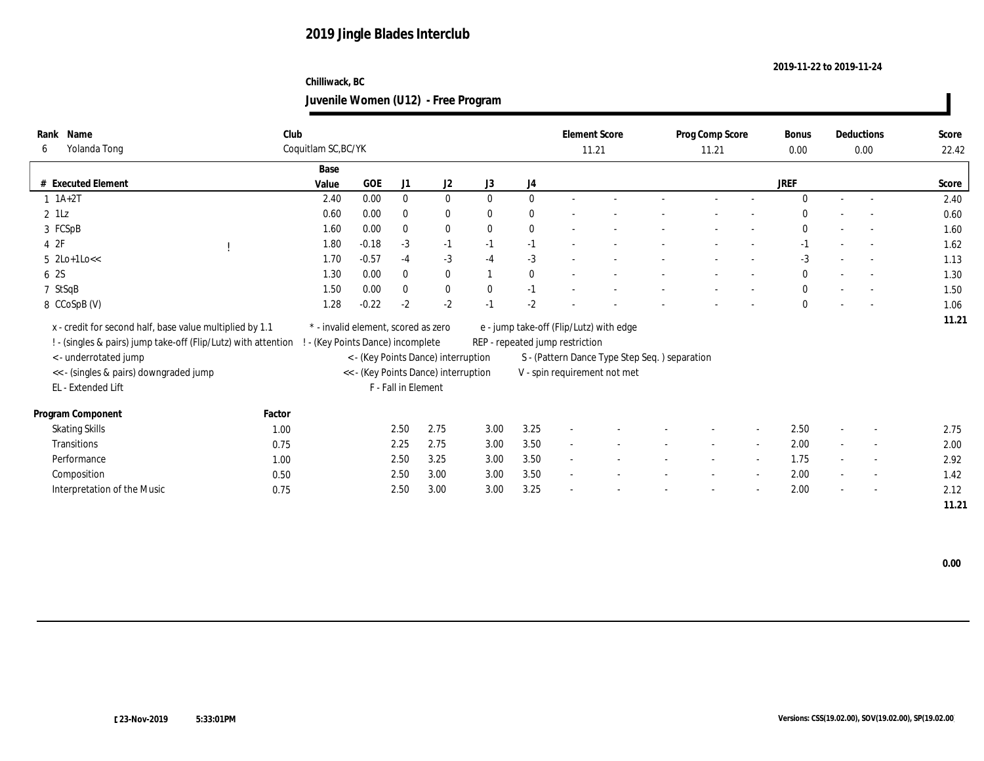## **Chilliwack, BC Juvenile Women (U12) - Free Program**

| Name<br>Rank                                                   | Club                              |                                     |                     |                                      |              |              | <b>Element Score</b>            |                                               | Prog Comp Score |                          | <b>Bonus</b> |        | Deductions               | Score |
|----------------------------------------------------------------|-----------------------------------|-------------------------------------|---------------------|--------------------------------------|--------------|--------------|---------------------------------|-----------------------------------------------|-----------------|--------------------------|--------------|--------|--------------------------|-------|
| Yolanda Tong<br>6                                              | Coquitlam SC, BC/YK               |                                     |                     |                                      |              |              | 11.21                           |                                               | 11.21           |                          | 0.00         |        | 0.00                     | 22.42 |
|                                                                | Base                              |                                     |                     |                                      |              |              |                                 |                                               |                 |                          |              |        |                          |       |
| # Executed Element                                             | Value                             | $GOE$                               | J1                  | J2                                   | J3           | J4           |                                 |                                               |                 |                          | <b>JREF</b>  |        |                          | Score |
| $1 \ 1A+2T$                                                    | 2.40                              | 0.00                                | $\bf{0}$            | $\bf{0}$                             | $\mathbf{0}$ | $\bf{0}$     |                                 |                                               |                 |                          | $\theta$     | $\sim$ | $\sim$                   | 2.40  |
| $2$ 1Lz                                                        | 0.60                              | 0.00                                | $\mathbf{0}$        | $\bf{0}$                             | $\mathbf{0}$ | $\mathbf{0}$ |                                 |                                               |                 |                          | $\Omega$     |        |                          | 0.60  |
| 3 FCSpB                                                        | 1.60                              | 0.00                                | $\bf{0}$            | $\bf{0}$                             | $\mathbf{0}$ | $\bf{0}$     |                                 |                                               |                 |                          | $\mathbf{0}$ |        |                          | 1.60  |
| 4 2F                                                           | 1.80                              | $-0.18$                             | $-3$                | $-1$                                 | $-1$         | $-1$         |                                 |                                               |                 |                          | $-1$         |        |                          | 1.62  |
| $5$ 2Lo+1Lo $<<$                                               | 1.70                              | $-0.57$                             | $-4$                | $-3$                                 | $-4$         | $-3$         |                                 |                                               |                 |                          | $-3$         |        | $\sim$                   | 1.13  |
| 6 2S                                                           | 1.30                              | 0.00                                | $\bf{0}$            | $\bf{0}$                             | $\mathbf{1}$ | $\bf{0}$     |                                 |                                               |                 |                          | $\mathbf{0}$ |        |                          | 1.30  |
| 7 StSqB                                                        | 1.50                              | 0.00                                | $\mathbf{0}$        | $\bf{0}$                             | $\mathbf{0}$ | $-1$         |                                 |                                               |                 |                          | $\mathbf{0}$ |        | $\sim$                   | 1.50  |
| 8 CCoSpB (V)                                                   | 1.28                              | $-0.22$                             | $-2$                | $-2$                                 | $-1$         | $-2$         |                                 |                                               |                 |                          | $\mathbf{0}$ |        | $\sim$                   | 1.06  |
| x - credit for second half, base value multiplied by 1.1       |                                   | * - invalid element, scored as zero |                     |                                      |              |              |                                 | e - jump take-off (Flip/Lutz) with edge       |                 |                          |              |        |                          | 11.21 |
|                                                                |                                   |                                     |                     |                                      |              |              |                                 |                                               |                 |                          |              |        |                          |       |
| ! - (singles & pairs) jump take-off (Flip/Lutz) with attention | ! - (Key Points Dance) incomplete |                                     |                     |                                      |              |              | REP - repeated jump restriction |                                               |                 |                          |              |        |                          |       |
| <- underrotated jump                                           |                                   |                                     |                     | <- (Key Points Dance) interruption   |              |              |                                 | S - (Pattern Dance Type Step Seq.) separation |                 |                          |              |        |                          |       |
| << - (singles & pairs) downgraded jump                         |                                   |                                     |                     | << - (Key Points Dance) interruption |              |              |                                 | V - spin requirement not met                  |                 |                          |              |        |                          |       |
| EL - Extended Lift                                             |                                   |                                     | F - Fall in Element |                                      |              |              |                                 |                                               |                 |                          |              |        |                          |       |
| Program Component                                              | Factor                            |                                     |                     |                                      |              |              |                                 |                                               |                 |                          |              |        |                          |       |
| <b>Skating Skills</b>                                          | 1.00                              |                                     | 2.50                | 2.75                                 | 3.00         | 3.25         |                                 |                                               |                 |                          | 2.50         |        | $\overline{\phantom{a}}$ | 2.75  |
| <b>Transitions</b>                                             | 0.75                              |                                     | 2.25                | 2.75                                 | 3.00         | 3.50         | $\overline{a}$                  |                                               | $\sim$          | $\sim$                   | 2.00         |        | $\overline{\phantom{a}}$ | 2.00  |
| Performance                                                    | 1.00                              |                                     | 2.50                | 3.25                                 | 3.00         | 3.50         | $\overline{\phantom{a}}$        |                                               |                 | $\overline{\phantom{a}}$ | 1.75         |        | $\overline{\phantom{a}}$ | 2.92  |
| Composition                                                    | 0.50                              |                                     | 2.50                | 3.00                                 | 3.00         | 3.50         |                                 |                                               |                 | $\sim$                   | 2.00         |        | $\overline{\phantom{a}}$ | 1.42  |
| Interpretation of the Music                                    | 0.75                              |                                     | 2.50                | 3.00                                 | 3.00         | 3.25         |                                 |                                               |                 |                          | 2.00         |        | $\sim$                   | 2.12  |
|                                                                |                                   |                                     |                     |                                      |              |              |                                 |                                               |                 |                          |              |        |                          | 11.21 |
|                                                                |                                   |                                     |                     |                                      |              |              |                                 |                                               |                 |                          |              |        |                          |       |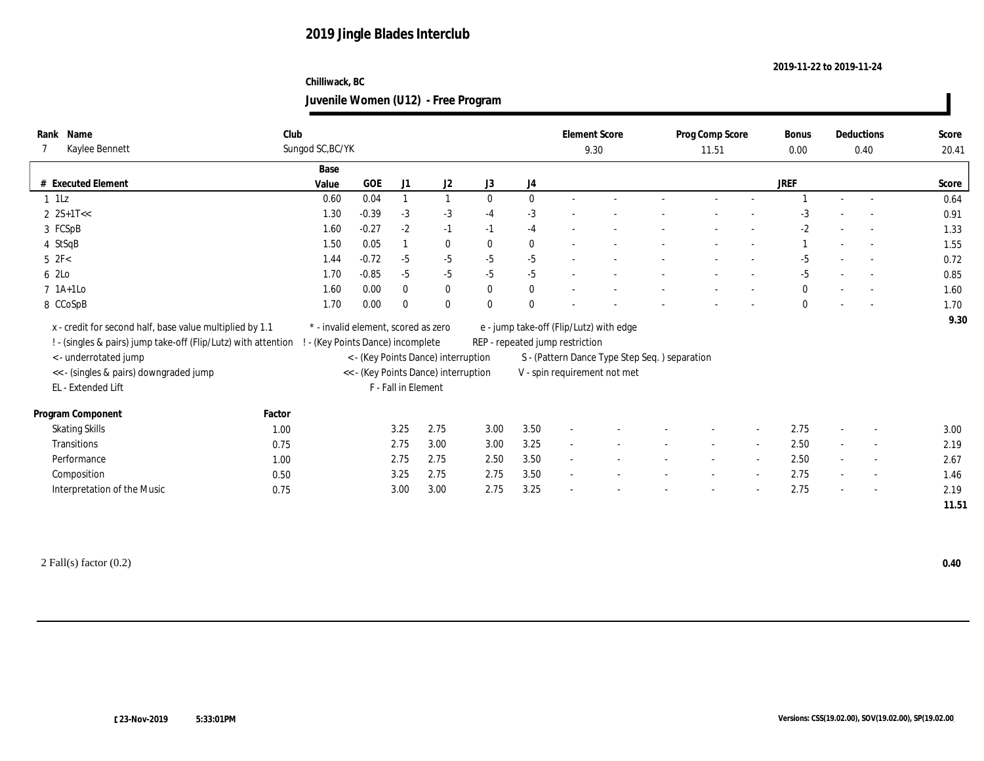## **Chilliwack, BC Juvenile Women (U12) - Free Program**

| Rank Name                                                      | Club   |                                     |         |                     |                                      |              |              | <b>Element Score</b>            |                                               | Prog Comp Score |                          | Bonus        |        | Deductions               | Score |
|----------------------------------------------------------------|--------|-------------------------------------|---------|---------------------|--------------------------------------|--------------|--------------|---------------------------------|-----------------------------------------------|-----------------|--------------------------|--------------|--------|--------------------------|-------|
| Kaylee Bennett                                                 |        | Sungod SC, BC/YK                    |         |                     |                                      |              |              |                                 | 9.30                                          | 11.51           |                          | 0.00         |        | 0.40                     | 20.41 |
|                                                                |        | Base                                |         |                     |                                      |              |              |                                 |                                               |                 |                          |              |        |                          |       |
| # Executed Element                                             |        | Value                               | GOE     | J1                  | J2                                   | J3           | J4           |                                 |                                               |                 |                          | <b>JREF</b>  |        |                          | Score |
| $1$ $1\mathrm{Lz}$                                             |        | 0.60                                | 0.04    |                     |                                      | $\mathbf{0}$ | $\mathbf{0}$ |                                 |                                               |                 |                          |              |        | $\sim$                   | 0.64  |
| $2$ 2S+1T <<                                                   |        | 1.30                                | $-0.39$ | $-3$                | $-3$                                 | $-4$         | $-3$         |                                 |                                               |                 |                          | -3           |        |                          | 0.91  |
| 3 FCSpB                                                        |        | 1.60                                | $-0.27$ | $-2$                | $-1$                                 | $-1$         | $-4$         |                                 |                                               |                 |                          | $-2$         |        |                          | 1.33  |
| 4 StSqB                                                        |        | 1.50                                | 0.05    | $\mathbf{1}$        | $\mathbf{0}$                         | $\mathbf{0}$ | $\mathbf{0}$ |                                 |                                               |                 |                          |              |        |                          | 1.55  |
| $5$ $2F<$                                                      |        | 1.44                                | $-0.72$ | $-5$                | $-5$                                 | $-5$         | $-5$         |                                 |                                               |                 |                          | $-5$         |        |                          | 0.72  |
| 6 2Lo                                                          |        | 1.70                                | $-0.85$ | $-5$                | $-5$                                 | $-5$         | $-5$         |                                 |                                               |                 |                          | $-5$         |        | $\sim$                   | 0.85  |
| $7$ 1A+1Lo                                                     |        | 1.60                                | 0.00    | $\mathbf{0}$        | $\bf{0}$                             | $\mathbf{0}$ | $\mathbf{0}$ |                                 |                                               |                 |                          | $\mathbf{0}$ |        |                          | 1.60  |
| 8 CCoSpB                                                       |        | 1.70                                | 0.00    | $\mathbf{0}$        | $\mathbf{0}$                         | $\mathbf{0}$ | $\mathbf{0}$ |                                 |                                               |                 |                          | $\mathbf{0}$ |        |                          | 1.70  |
| x - credit for second half, base value multiplied by 1.1       |        | * - invalid element, scored as zero |         |                     |                                      |              |              |                                 | e - jump take-off (Flip/Lutz) with edge       |                 |                          |              |        |                          | 9.30  |
| ! - (singles & pairs) jump take-off (Flip/Lutz) with attention |        | - (Key Points Dance) incomplete     |         |                     |                                      |              |              | REP - repeated jump restriction |                                               |                 |                          |              |        |                          |       |
| <- underrotated jump                                           |        |                                     |         |                     | < - (Key Points Dance) interruption  |              |              |                                 | S - (Pattern Dance Type Step Seq.) separation |                 |                          |              |        |                          |       |
| << - (singles & pairs) downgraded jump                         |        |                                     |         |                     | << - (Key Points Dance) interruption |              |              |                                 | V - spin requirement not met                  |                 |                          |              |        |                          |       |
| EL - Extended Lift                                             |        |                                     |         | F - Fall in Element |                                      |              |              |                                 |                                               |                 |                          |              |        |                          |       |
|                                                                |        |                                     |         |                     |                                      |              |              |                                 |                                               |                 |                          |              |        |                          |       |
| Program Component                                              | Factor |                                     |         |                     |                                      |              |              |                                 |                                               |                 |                          |              |        |                          |       |
| <b>Skating Skills</b>                                          | 1.00   |                                     |         | 3.25                | 2.75                                 | 3.00         | 3.50         |                                 |                                               |                 |                          | 2.75         |        |                          | 3.00  |
| <b>Transitions</b>                                             | 0.75   |                                     |         | 2.75                | 3.00                                 | 3.00         | 3.25         | $\sim$                          |                                               |                 |                          | 2.50         |        | $\overline{\phantom{a}}$ | 2.19  |
| Performance                                                    | 1.00   |                                     |         | 2.75                | 2.75                                 | 2.50         | 3.50         | $\sim$                          |                                               |                 | $\overline{\phantom{a}}$ | 2.50         | $\sim$ | $\sim$                   | 2.67  |
| Composition                                                    | 0.50   |                                     |         | 3.25                | 2.75                                 | 2.75         | 3.50         | $\sim$                          |                                               |                 | $\sim$                   | 2.75         |        | $\overline{\phantom{a}}$ | 1.46  |
| Interpretation of the Music                                    | 0.75   |                                     |         | 3.00                | 3.00                                 | 2.75         | 3.25         |                                 |                                               |                 |                          | 2.75         |        |                          | 2.19  |
|                                                                |        |                                     |         |                     |                                      |              |              |                                 |                                               |                 |                          |              |        |                          | 11.51 |
|                                                                |        |                                     |         |                     |                                      |              |              |                                 |                                               |                 |                          |              |        |                          |       |